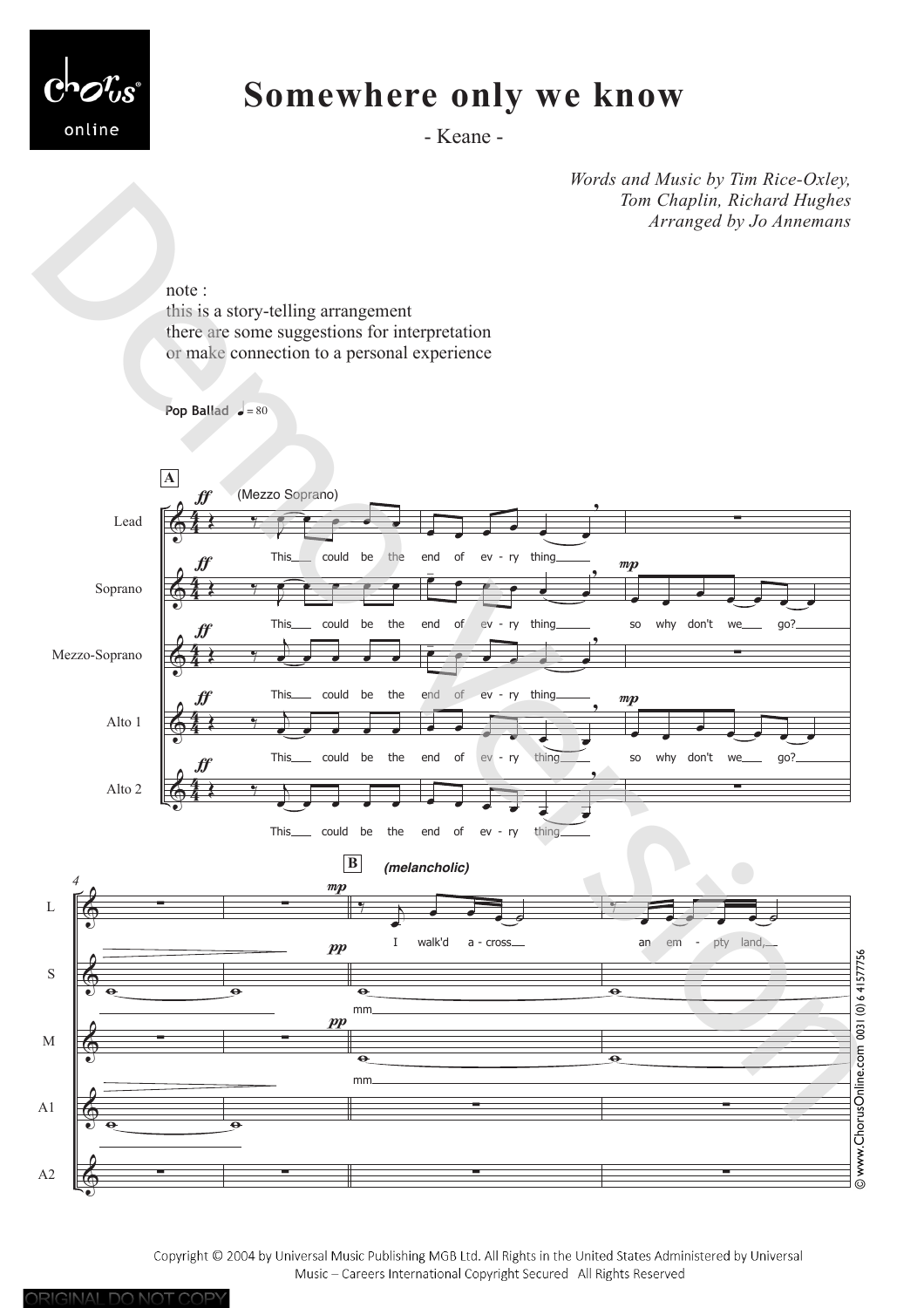

ORIGINAL DO NOT COPY

# **Somewhere only we know**

- Keane -

*Words and Music by Tim Rice-Oxley, Tom Chaplin, Richard Hughes Arranged by Jo Annemans*



Copyright © 2004 by Universal Music Publishing MGB Ltd. All Rights in the United States Administered by Universal Music - Careers International Copyright Secured All Rights Reserved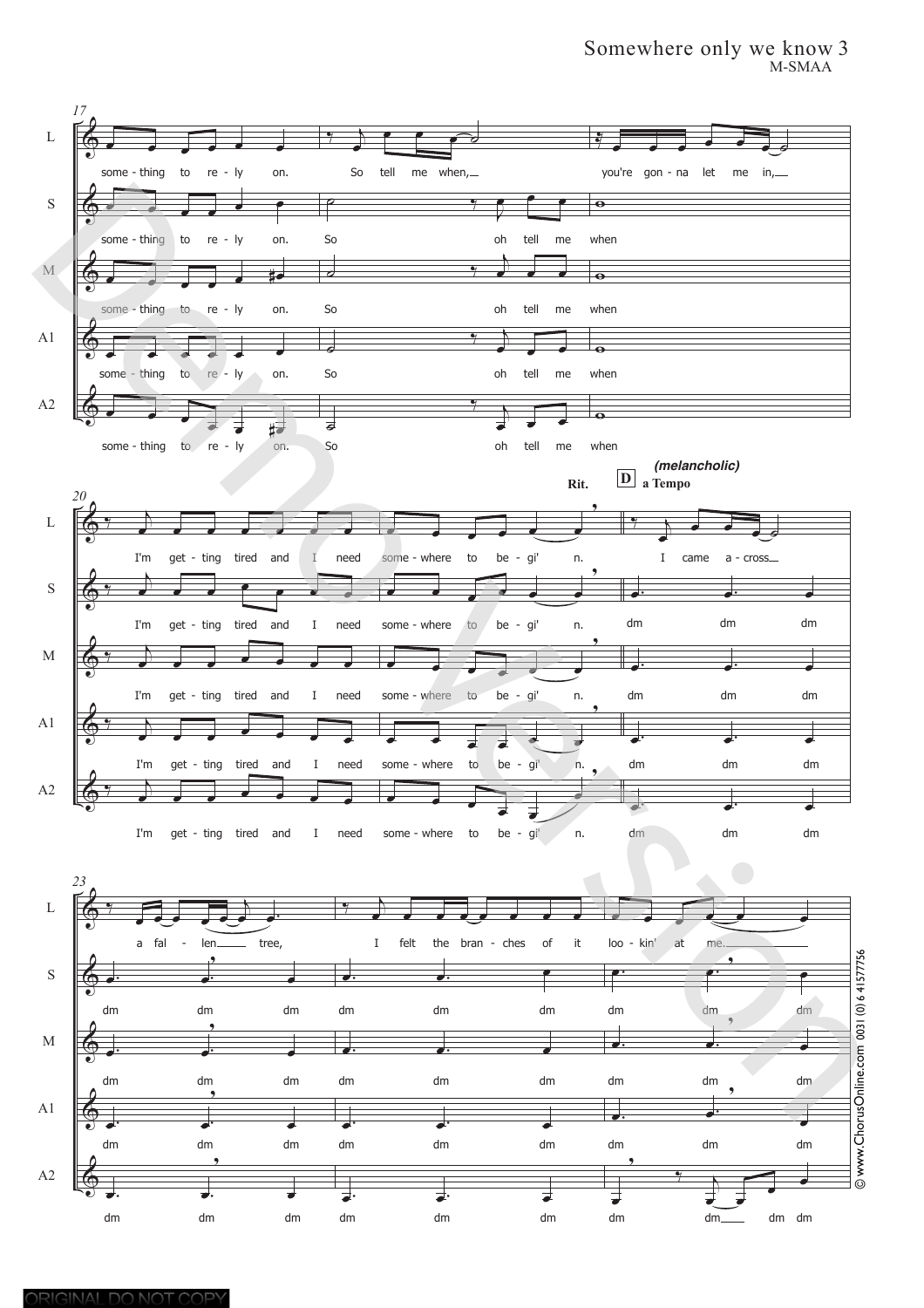# Somewhere only we know 3 M-SMAA

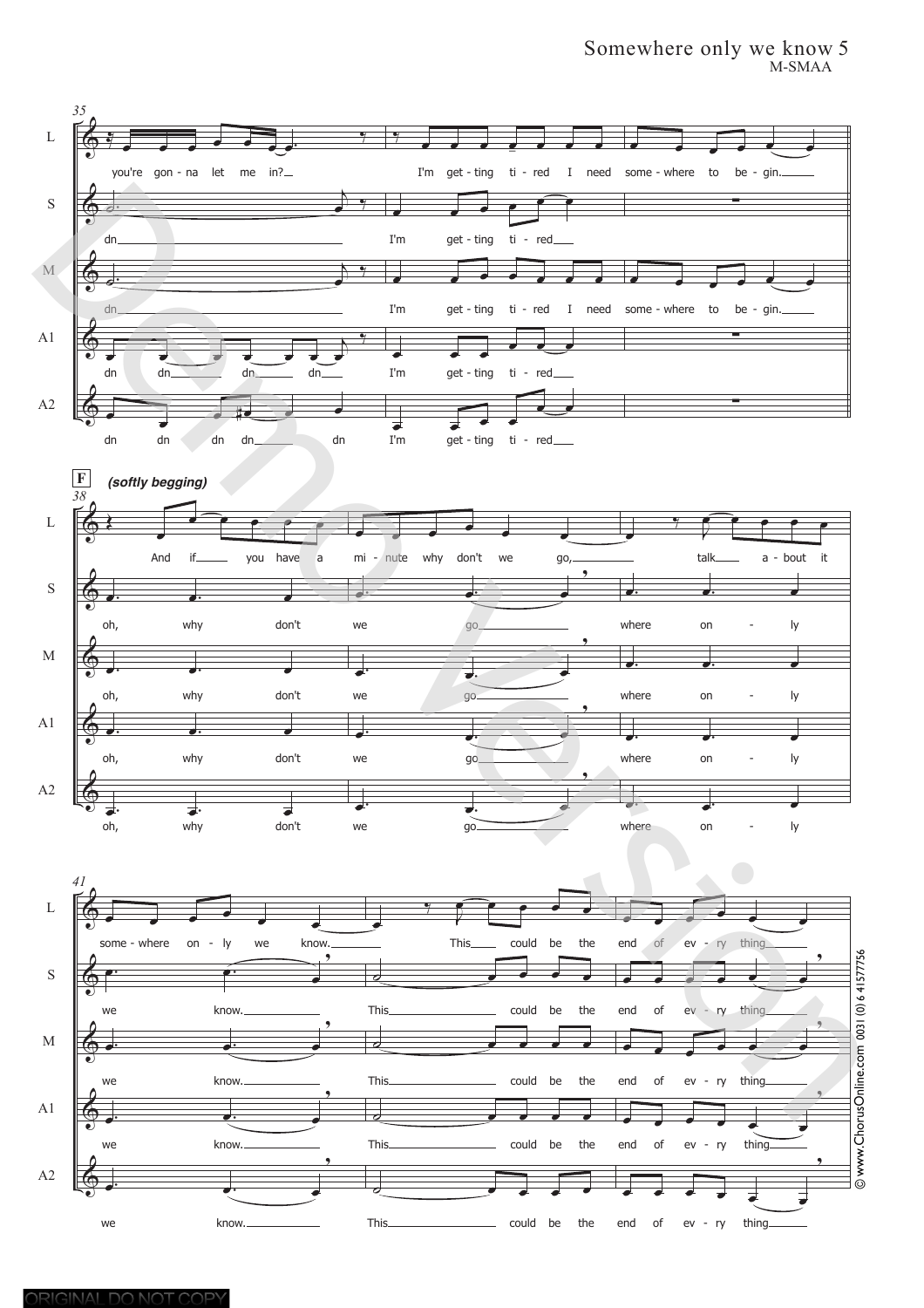# Somewhere only we know 5 M-SMAA

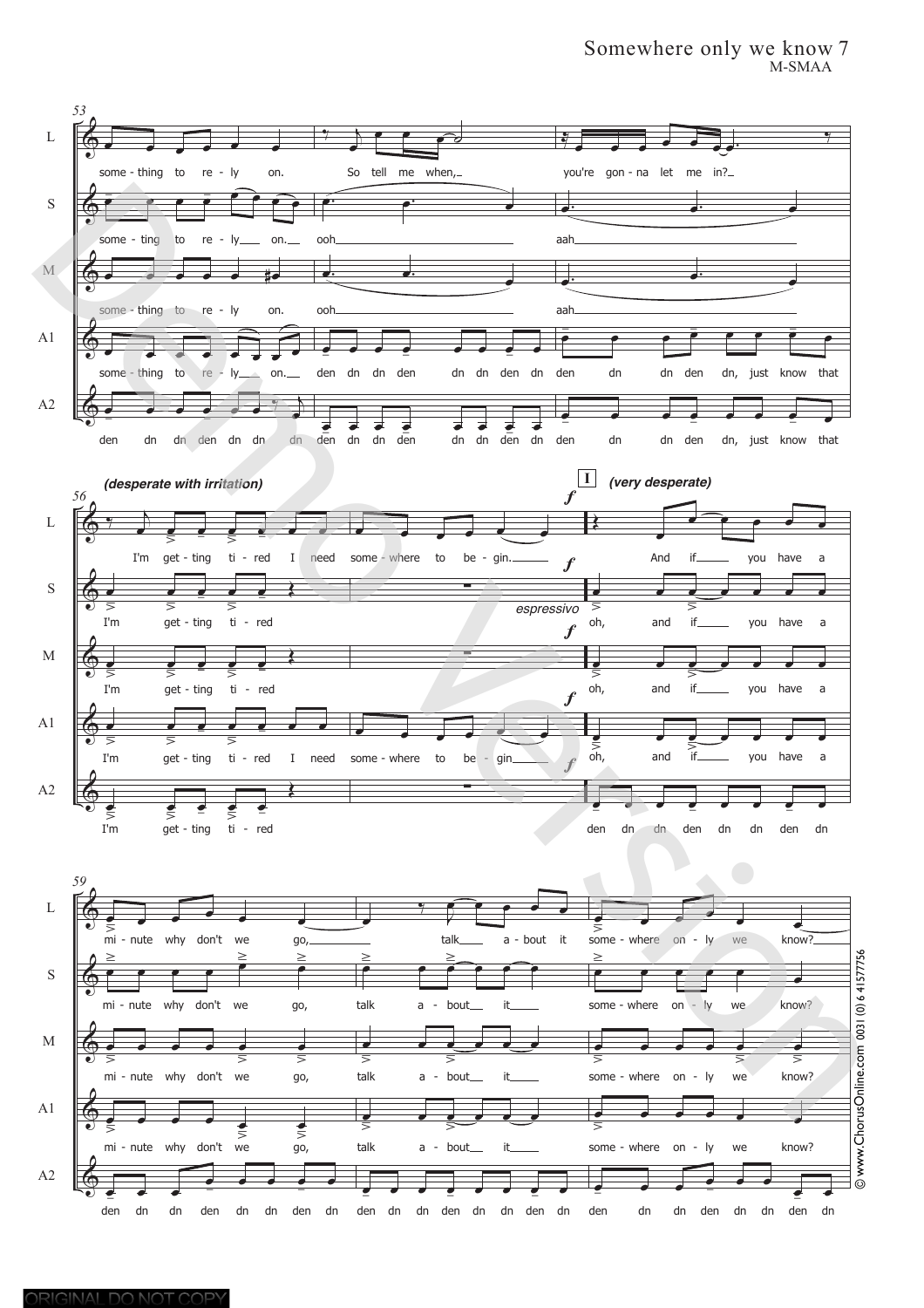## Somewhere only we know 7 M-SMAA